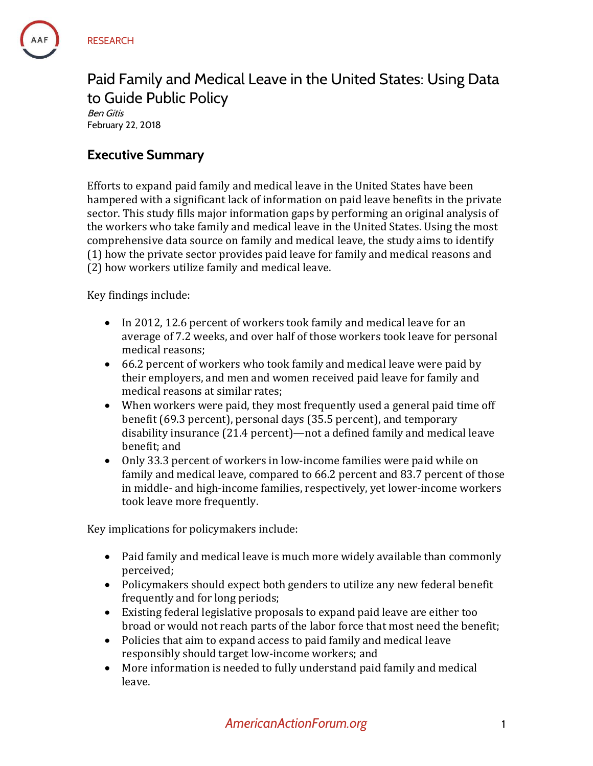### Paid Family and Medical Leave in the United States: Using Data to Guide Public Policy Ben Gitis February 22, 2018

## **Executive Summary**

Efforts to expand paid family and medical leave in the United States have been hampered with a significant lack of information on paid leave benefits in the private sector. This study fills major information gaps by performing an original analysis of the workers who take family and medical leave in the United States. Using the most comprehensive data source on family and medical leave, the study aims to identify (1) how the private sector provides paid leave for family and medical reasons and (2) how workers utilize family and medical leave.

Key findings include:

- In 2012, 12.6 percent of workers took family and medical leave for an average of 7.2 weeks, and over half of those workers took leave for personal medical reasons;
- 66.2 percent of workers who took family and medical leave were paid by their employers, and men and women received paid leave for family and medical reasons at similar rates;
- When workers were paid, they most frequently used a general paid time off benefit (69.3 percent), personal days (35.5 percent), and temporary disability insurance (21.4 percent)—not a defined family and medical leave benefit; and
- Only 33.3 percent of workers in low-income families were paid while on family and medical leave, compared to 66.2 percent and 83.7 percent of those in middle- and high-income families, respectively, yet lower-income workers took leave more frequently.

Key implications for policymakers include:

- Paid family and medical leave is much more widely available than commonly perceived;
- Policymakers should expect both genders to utilize any new federal benefit frequently and for long periods;
- Existing federal legislative proposals to expand paid leave are either too broad or would not reach parts of the labor force that most need the benefit;
- Policies that aim to expand access to paid family and medical leave responsibly should target low-income workers; and
- More information is needed to fully understand paid family and medical leave.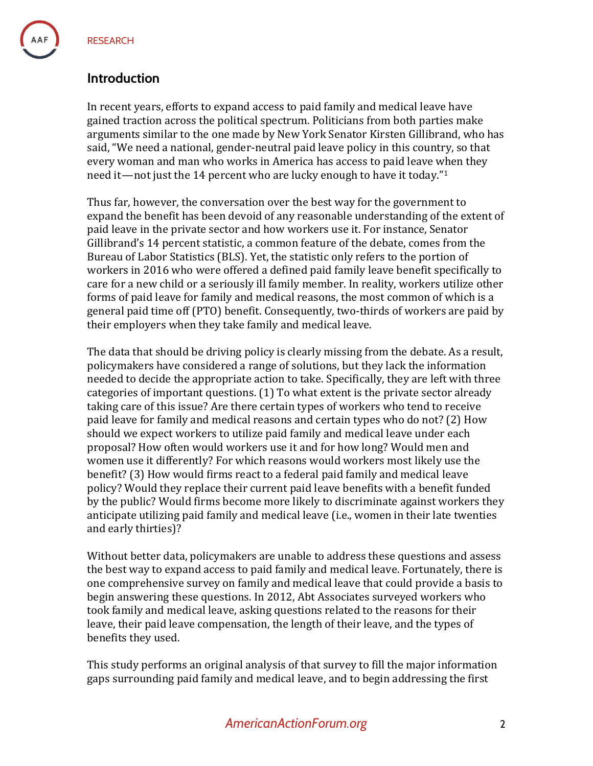### **Introduction**

In recent years, efforts to expand access to paid family and medical leave have gained traction across the political spectrum. Politicians from both parties make arguments similar to the one made by New York Senator Kirsten Gillibrand, who has said, "We need a national, gender-neutral paid leave policy in this country, so that every woman and man who works in America has access to paid leave when they need it—not just the 14 percent who are lucky enough to have it today." $1$ 

Thus far, however, the conversation over the best way for the government to expand the benefit has been devoid of any reasonable understanding of the extent of paid leave in the private sector and how workers use it. For instance, Senator Gillibrand's 14 percent statistic, a common feature of the debate, comes from the Bureau of Labor Statistics (BLS). Yet, the statistic only refers to the portion of workers in 2016 who were offered a defined paid family leave benefit specifically to care for a new child or a seriously ill family member. In reality, workers utilize other forms of paid leave for family and medical reasons, the most common of which is a general paid time off (PTO) benefit. Consequently, two-thirds of workers are paid by their employers when they take family and medical leave.

The data that should be driving policy is clearly missing from the debate. As a result, policymakers have considered a range of solutions, but they lack the information needed to decide the appropriate action to take. Specifically, they are left with three categories of important questions. (1) To what extent is the private sector already taking care of this issue? Are there certain types of workers who tend to receive paid leave for family and medical reasons and certain types who do not? (2) How should we expect workers to utilize paid family and medical leave under each proposal? How often would workers use it and for how long? Would men and women use it differently? For which reasons would workers most likely use the benefit? (3) How would firms react to a federal paid family and medical leave policy? Would they replace their current paid leave benefits with a benefit funded by the public? Would firms become more likely to discriminate against workers they anticipate utilizing paid family and medical leave (i.e., women in their late twenties and early thirties)?

Without better data, policymakers are unable to address these questions and assess the best way to expand access to paid family and medical leave. Fortunately, there is one comprehensive survey on family and medical leave that could provide a basis to begin answering these questions. In 2012, Abt Associates surveyed workers who took family and medical leave, asking questions related to the reasons for their leave, their paid leave compensation, the length of their leave, and the types of benefits they used.

This study performs an original analysis of that survey to fill the major information gaps surrounding paid family and medical leave, and to begin addressing the first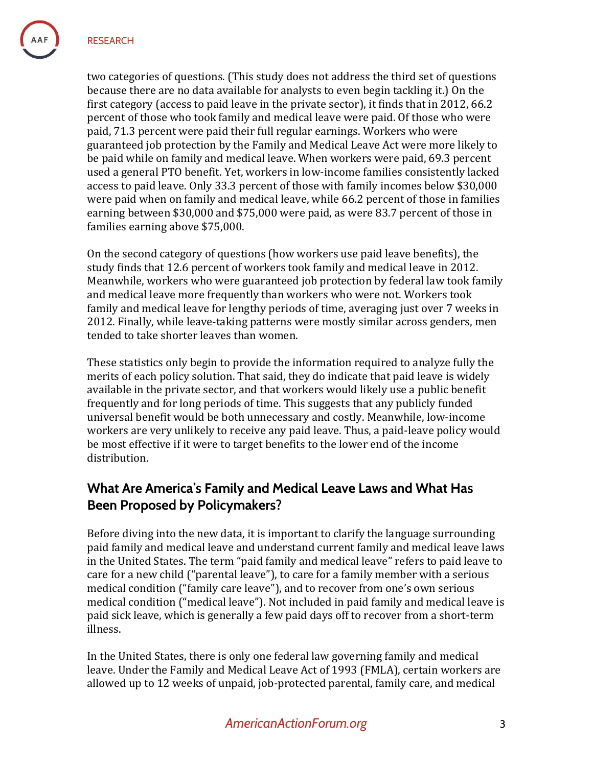two categories of questions. (This study does not address the third set of questions because there are no data available for analysts to even begin tackling it.) On the first category (access to paid leave in the private sector), it finds that in 2012, 66.2 percent of those who took family and medical leave were paid. Of those who were paid, 71.3 percent were paid their full regular earnings. Workers who were guaranteed job protection by the Family and Medical Leave Act were more likely to be paid while on family and medical leave. When workers were paid, 69.3 percent used a general PTO benefit. Yet, workers in low-income families consistently lacked access to paid leave. Only 33.3 percent of those with family incomes below \$30,000 were paid when on family and medical leave, while 66.2 percent of those in families earning between \$30,000 and \$75,000 were paid, as were 83.7 percent of those in families earning above \$75,000.

On the second category of questions (how workers use paid leave benefits), the study finds that 12.6 percent of workers took family and medical leave in 2012. Meanwhile, workers who were guaranteed job protection by federal law took family and medical leave more frequently than workers who were not. Workers took family and medical leave for lengthy periods of time, averaging just over 7 weeks in 2012. Finally, while leave-taking patterns were mostly similar across genders, men tended to take shorter leaves than women.

These statistics only begin to provide the information required to analyze fully the merits of each policy solution. That said, they do indicate that paid leave is widely available in the private sector, and that workers would likely use a public benefit frequently and for long periods of time. This suggests that any publicly funded universal benefit would be both unnecessary and costly. Meanwhile, low-income workers are very unlikely to receive any paid leave. Thus, a paid-leave policy would be most effective if it were to target benefits to the lower end of the income distribution.

# **What Are America's Family and Medical Leave Laws and What Has Been Proposed by Policymakers?**

Before diving into the new data, it is important to clarify the language surrounding paid family and medical leave and understand current family and medical leave laws in the United States. The term "paid family and medical leave" refers to paid leave to care for a new child ("parental leave"), to care for a family member with a serious medical condition ("family care leave"), and to recover from one's own serious medical condition ("medical leave"). Not included in paid family and medical leave is paid sick leave, which is generally a few paid days off to recover from a short-term illness.

In the United States, there is only one federal law governing family and medical leave. Under the Family and Medical Leave Act of 1993 (FMLA), certain workers are allowed up to 12 weeks of unpaid, job-protected parental, family care, and medical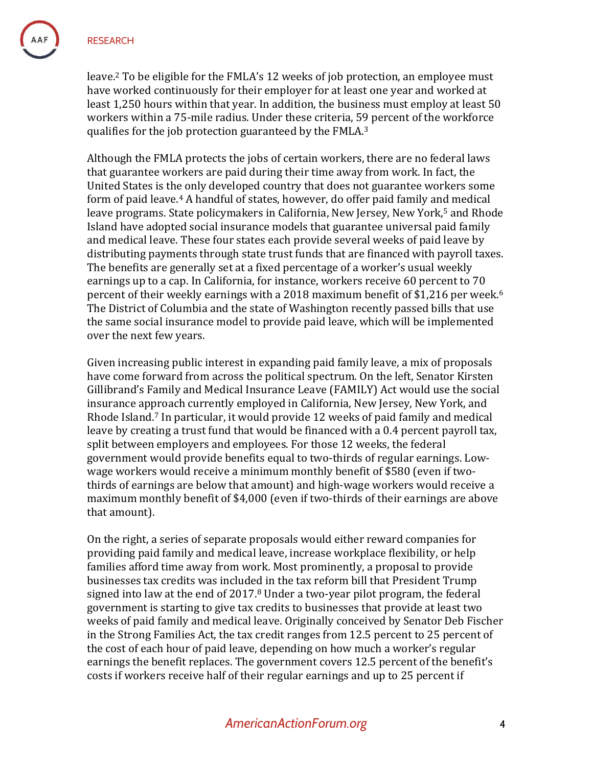leave.<sup>2</sup> To be eligible for the FMLA's 12 weeks of job protection, an employee must have worked continuously for their employer for at least one year and worked at least 1,250 hours within that year. In addition, the business must employ at least 50 workers within a 75-mile radius. Under these criteria, 59 percent of the workforce qualifies for the job protection guaranteed by the FMLA.<sup>3</sup>

Although the FMLA protects the jobs of certain workers, there are no federal laws that guarantee workers are paid during their time away from work. In fact, the United States is the only developed country that does not guarantee workers some form of paid leave.<sup>4</sup> A handful of states, however, do offer paid family and medical leave programs. State policymakers in California, New Jersey, New York,<sup>5</sup> and Rhode Island have adopted social insurance models that guarantee universal paid family and medical leave. These four states each provide several weeks of paid leave by distributing payments through state trust funds that are financed with payroll taxes. The benefits are generally set at a fixed percentage of a worker's usual weekly earnings up to a cap. In California, for instance, workers receive 60 percent to 70 percent of their weekly earnings with a 2018 maximum benefit of \$1,216 per week.<sup>6</sup> The District of Columbia and the state of Washington recently passed bills that use the same social insurance model to provide paid leave, which will be implemented over the next few years.

Given increasing public interest in expanding paid family leave, a mix of proposals have come forward from across the political spectrum. On the left, Senator Kirsten Gillibrand's Family and Medical Insurance Leave (FAMILY) Act would use the social insurance approach currently employed in California, New Jersey, New York, and Rhode Island. <sup>7</sup> In particular, it would provide 12 weeks of paid family and medical leave by creating a trust fund that would be financed with a 0.4 percent payroll tax, split between employers and employees. For those 12 weeks, the federal government would provide benefits equal to two-thirds of regular earnings. Lowwage workers would receive a minimum monthly benefit of \$580 (even if twothirds of earnings are below that amount) and high-wage workers would receive a maximum monthly benefit of \$4,000 (even if two-thirds of their earnings are above that amount).

On the right, a series of separate proposals would either reward companies for providing paid family and medical leave, increase workplace flexibility, or help families afford time away from work. Most prominently, a proposal to provide businesses tax credits was included in the tax reform bill that President Trump signed into law at the end of 2017.<sup>8</sup> Under a two-year pilot program, the federal government is starting to give tax credits to businesses that provide at least two weeks of paid family and medical leave. Originally conceived by Senator Deb Fischer in the Strong Families Act, the tax credit ranges from 12.5 percent to 25 percent of the cost of each hour of paid leave, depending on how much a worker's regular earnings the benefit replaces. The government covers 12.5 percent of the benefit's costs if workers receive half of their regular earnings and up to 25 percent if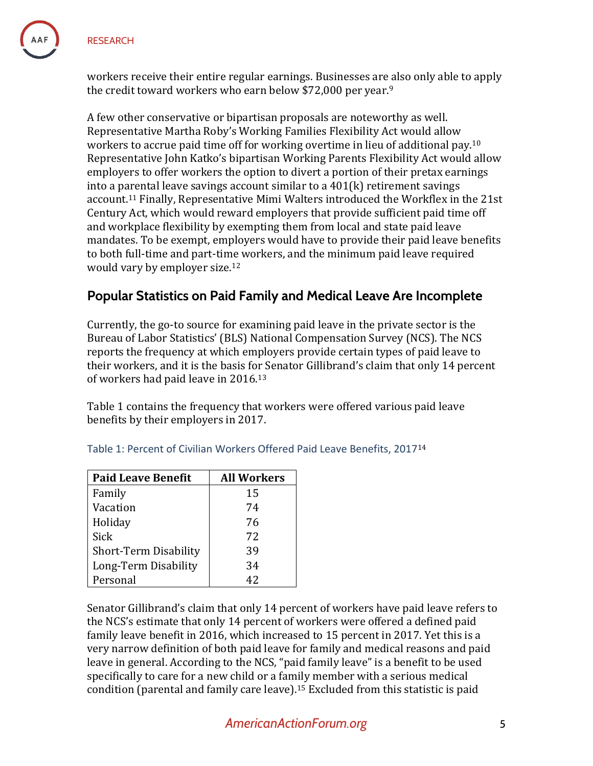

workers receive their entire regular earnings. Businesses are also only able to apply the credit toward workers who earn below \$72,000 per year. 9

A few other conservative or bipartisan proposals are noteworthy as well. Representative Martha Roby's Working Families Flexibility Act would allow workers to accrue paid time off for working overtime in lieu of additional pay.<sup>10</sup> Representative John Katko's bipartisan Working Parents Flexibility Act would allow employers to offer workers the option to divert a portion of their pretax earnings into a parental leave savings account similar to a 401(k) retirement savings account. <sup>11</sup> Finally, Representative Mimi Walters introduced the Workflex in the 21st Century Act, which would reward employers that provide sufficient paid time off and workplace flexibility by exempting them from local and state paid leave mandates. To be exempt, employers would have to provide their paid leave benefits to both full-time and part-time workers, and the minimum paid leave required would vary by employer size.<sup>12</sup>

# **Popular Statistics on Paid Family and Medical Leave Are Incomplete**

Currently, the go-to source for examining paid leave in the private sector is the Bureau of Labor Statistics' (BLS) National Compensation Survey (NCS). The NCS reports the frequency at which employers provide certain types of paid leave to their workers, and it is the basis for Senator Gillibrand's claim that only 14 percent of workers had paid leave in 2016. 13

Table 1 contains the frequency that workers were offered various paid leave benefits by their employers in 2017.

| <b>Paid Leave Benefit</b> | <b>All Workers</b> |  |
|---------------------------|--------------------|--|
| Family                    | 15                 |  |
| Vacation                  | 74                 |  |
| Holiday                   | 76                 |  |
| Sick                      | 72                 |  |
| Short-Term Disability     | 39                 |  |
| Long-Term Disability      | 34                 |  |
| Personal                  | 42                 |  |

Table 1: Percent of Civilian Workers Offered Paid Leave Benefits, 2017<sup>14</sup>

Senator Gillibrand's claim that only 14 percent of workers have paid leave refers to the NCS's estimate that only 14 percent of workers were offered a defined paid family leave benefit in 2016, which increased to 15 percent in 2017. Yet this is a very narrow definition of both paid leave for family and medical reasons and paid leave in general. According to the NCS, "paid family leave" is a benefit to be used specifically to care for a new child or a family member with a serious medical condition (parental and family care leave).<sup>15</sup> Excluded from this statistic is paid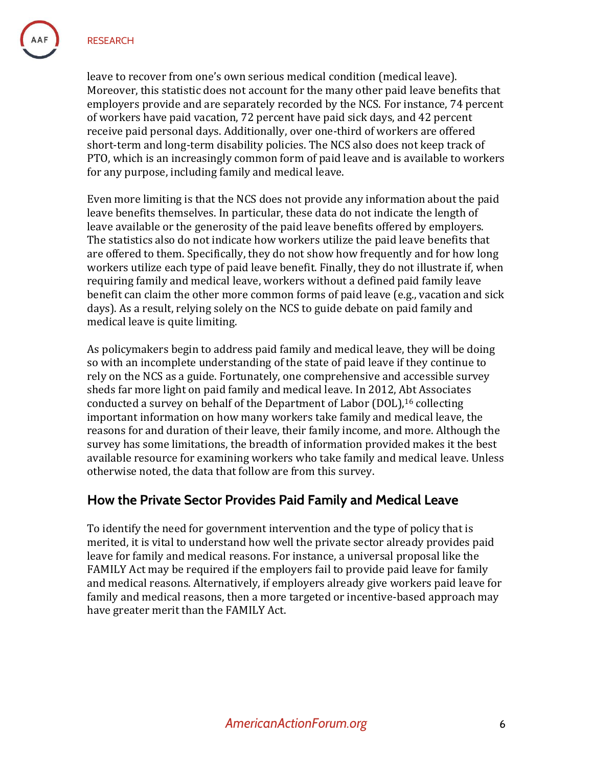leave to recover from one's own serious medical condition (medical leave). Moreover, this statistic does not account for the many other paid leave benefits that employers provide and are separately recorded by the NCS. For instance, 74 percent of workers have paid vacation, 72 percent have paid sick days, and 42 percent receive paid personal days. Additionally, over one-third of workers are offered short-term and long-term disability policies. The NCS also does not keep track of PTO, which is an increasingly common form of paid leave and is available to workers for any purpose, including family and medical leave.

Even more limiting is that the NCS does not provide any information about the paid leave benefits themselves. In particular, these data do not indicate the length of leave available or the generosity of the paid leave benefits offered by employers. The statistics also do not indicate how workers utilize the paid leave benefits that are offered to them. Specifically, they do not show how frequently and for how long workers utilize each type of paid leave benefit. Finally, they do not illustrate if, when requiring family and medical leave, workers without a defined paid family leave benefit can claim the other more common forms of paid leave (e.g., vacation and sick days). As a result, relying solely on the NCS to guide debate on paid family and medical leave is quite limiting.

As policymakers begin to address paid family and medical leave, they will be doing so with an incomplete understanding of the state of paid leave if they continue to rely on the NCS as a guide. Fortunately, one comprehensive and accessible survey sheds far more light on paid family and medical leave. In 2012, Abt Associates conducted a survey on behalf of the Department of Labor (DOL),<sup>16</sup> collecting important information on how many workers take family and medical leave, the reasons for and duration of their leave, their family income, and more. Although the survey has some limitations, the breadth of information provided makes it the best available resource for examining workers who take family and medical leave. Unless otherwise noted, the data that follow are from this survey.

# **How the Private Sector Provides Paid Family and Medical Leave**

To identify the need for government intervention and the type of policy that is merited, it is vital to understand how well the private sector already provides paid leave for family and medical reasons. For instance, a universal proposal like the FAMILY Act may be required if the employers fail to provide paid leave for family and medical reasons. Alternatively, if employers already give workers paid leave for family and medical reasons, then a more targeted or incentive-based approach may have greater merit than the FAMILY Act.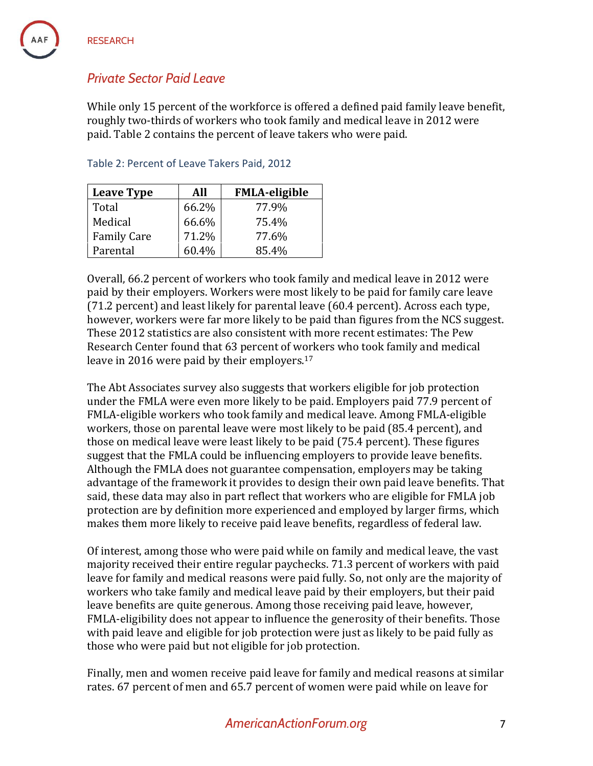# *Private Sector Paid Leave*

While only 15 percent of the workforce is offered a defined paid family leave benefit, roughly two-thirds of workers who took family and medical leave in 2012 were paid. Table 2 contains the percent of leave takers who were paid.

| <b>Leave Type</b>  | All   | <b>FMLA-eligible</b> |
|--------------------|-------|----------------------|
| Total              | 66.2% | 77.9%                |
| Medical            | 66.6% | 75.4%                |
| <b>Family Care</b> | 71.2% | 77.6%                |
| Parental           | 60.4% | 85.4%                |

Table 2: Percent of Leave Takers Paid, 2012

Overall, 66.2 percent of workers who took family and medical leave in 2012 were paid by their employers. Workers were most likely to be paid for family care leave (71.2 percent) and least likely for parental leave (60.4 percent). Across each type, however, workers were far more likely to be paid than figures from the NCS suggest. These 2012 statistics are also consistent with more recent estimates: The Pew Research Center found that 63 percent of workers who took family and medical leave in 2016 were paid by their employers.<sup>17</sup>

The Abt Associates survey also suggests that workers eligible for job protection under the FMLA were even more likely to be paid. Employers paid 77.9 percent of FMLA-eligible workers who took family and medical leave. Among FMLA-eligible workers, those on parental leave were most likely to be paid (85.4 percent), and those on medical leave were least likely to be paid (75.4 percent). These figures suggest that the FMLA could be influencing employers to provide leave benefits. Although the FMLA does not guarantee compensation, employers may be taking advantage of the framework it provides to design their own paid leave benefits. That said, these data may also in part reflect that workers who are eligible for FMLA job protection are by definition more experienced and employed by larger firms, which makes them more likely to receive paid leave benefits, regardless of federal law.

Of interest, among those who were paid while on family and medical leave, the vast majority received their entire regular paychecks. 71.3 percent of workers with paid leave for family and medical reasons were paid fully. So, not only are the majority of workers who take family and medical leave paid by their employers, but their paid leave benefits are quite generous. Among those receiving paid leave, however, FMLA-eligibility does not appear to influence the generosity of their benefits. Those with paid leave and eligible for job protection were just as likely to be paid fully as those who were paid but not eligible for job protection.

Finally, men and women receive paid leave for family and medical reasons at similar rates. 67 percent of men and 65.7 percent of women were paid while on leave for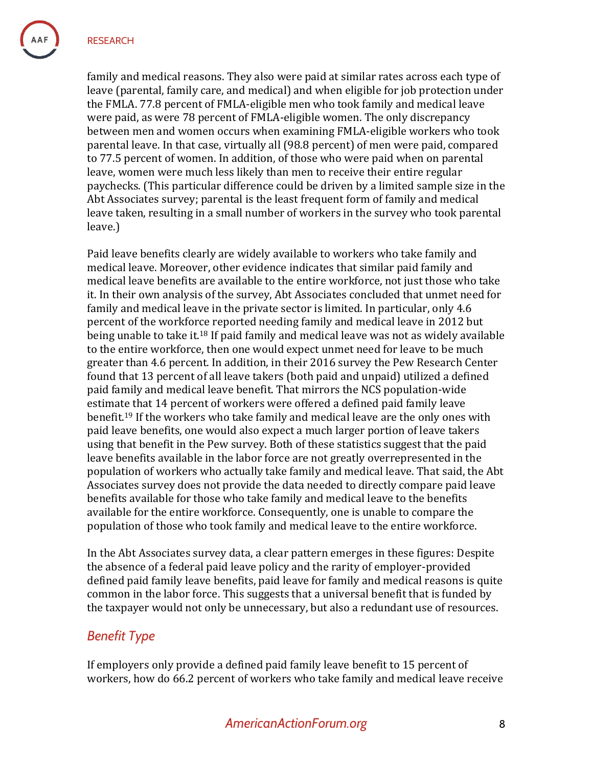family and medical reasons. They also were paid at similar rates across each type of leave (parental, family care, and medical) and when eligible for job protection under the FMLA. 77.8 percent of FMLA-eligible men who took family and medical leave were paid, as were 78 percent of FMLA-eligible women. The only discrepancy between men and women occurs when examining FMLA-eligible workers who took parental leave. In that case, virtually all (98.8 percent) of men were paid, compared to 77.5 percent of women. In addition, of those who were paid when on parental leave, women were much less likely than men to receive their entire regular paychecks. (This particular difference could be driven by a limited sample size in the Abt Associates survey; parental is the least frequent form of family and medical leave taken, resulting in a small number of workers in the survey who took parental leave.)

Paid leave benefits clearly are widely available to workers who take family and medical leave. Moreover, other evidence indicates that similar paid family and medical leave benefits are available to the entire workforce, not just those who take it. In their own analysis of the survey, Abt Associates concluded that unmet need for family and medical leave in the private sector is limited. In particular, only 4.6 percent of the workforce reported needing family and medical leave in 2012 but being unable to take it.<sup>18</sup> If paid family and medical leave was not as widely available to the entire workforce, then one would expect unmet need for leave to be much greater than 4.6 percent. In addition, in their 2016 survey the Pew Research Center found that 13 percent of all leave takers (both paid and unpaid) utilized a defined paid family and medical leave benefit. That mirrors the NCS population-wide estimate that 14 percent of workers were offered a defined paid family leave benefit.<sup>19</sup> If the workers who take family and medical leave are the only ones with paid leave benefits, one would also expect a much larger portion of leave takers using that benefit in the Pew survey. Both of these statistics suggest that the paid leave benefits available in the labor force are not greatly overrepresented in the population of workers who actually take family and medical leave. That said, the Abt Associates survey does not provide the data needed to directly compare paid leave benefits available for those who take family and medical leave to the benefits available for the entire workforce. Consequently, one is unable to compare the population of those who took family and medical leave to the entire workforce.

In the Abt Associates survey data, a clear pattern emerges in these figures: Despite the absence of a federal paid leave policy and the rarity of employer-provided defined paid family leave benefits, paid leave for family and medical reasons is quite common in the labor force. This suggests that a universal benefit that is funded by the taxpayer would not only be unnecessary, but also a redundant use of resources.

### *Benefit Type*

If employers only provide a defined paid family leave benefit to 15 percent of workers, how do 66.2 percent of workers who take family and medical leave receive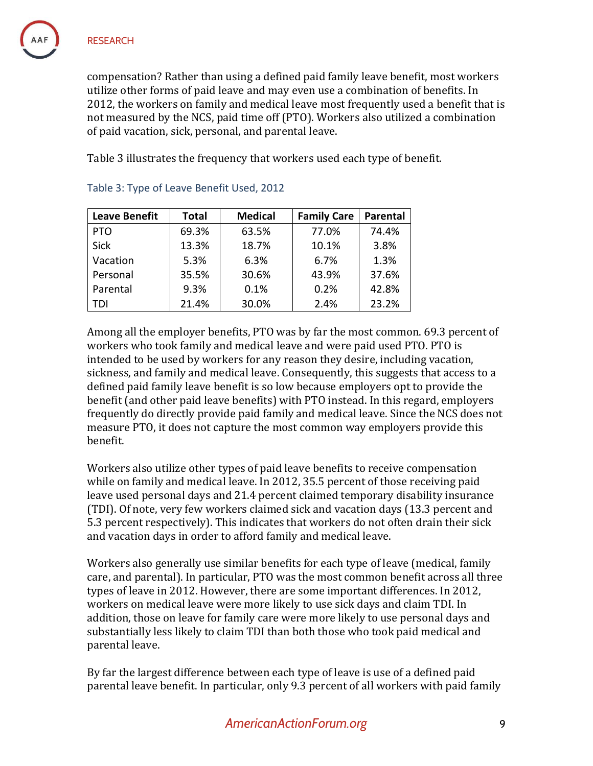compensation? Rather than using a defined paid family leave benefit, most workers utilize other forms of paid leave and may even use a combination of benefits. In 2012, the workers on family and medical leave most frequently used a benefit that is not measured by the NCS, paid time off (PTO). Workers also utilized a combination of paid vacation, sick, personal, and parental leave.

Table 3 illustrates the frequency that workers used each type of benefit.

| <b>Leave Benefit</b> | <b>Total</b> | <b>Medical</b><br><b>Family Care</b> |       | <b>Parental</b> |
|----------------------|--------------|--------------------------------------|-------|-----------------|
| <b>PTO</b>           | 69.3%        | 63.5%                                | 77.0% | 74.4%           |
| <b>Sick</b>          | 13.3%        | 18.7%                                | 10.1% | 3.8%            |
| Vacation             | 5.3%         | 6.3%                                 | 6.7%  | 1.3%            |
| Personal             | 35.5%        | 30.6%                                | 43.9% | 37.6%           |
| Parental             | 9.3%         | 0.1%                                 | 0.2%  | 42.8%           |
| TDI                  | 21.4%        | 30.0%                                | 2.4%  | 23.2%           |

#### Table 3: Type of Leave Benefit Used, 2012

Among all the employer benefits, PTO was by far the most common. 69.3 percent of workers who took family and medical leave and were paid used PTO. PTO is intended to be used by workers for any reason they desire, including vacation, sickness, and family and medical leave. Consequently, this suggests that access to a defined paid family leave benefit is so low because employers opt to provide the benefit (and other paid leave benefits) with PTO instead. In this regard, employers frequently do directly provide paid family and medical leave. Since the NCS does not measure PTO, it does not capture the most common way employers provide this benefit.

Workers also utilize other types of paid leave benefits to receive compensation while on family and medical leave. In 2012, 35.5 percent of those receiving paid leave used personal days and 21.4 percent claimed temporary disability insurance (TDI). Of note, very few workers claimed sick and vacation days (13.3 percent and 5.3 percent respectively). This indicates that workers do not often drain their sick and vacation days in order to afford family and medical leave.

Workers also generally use similar benefits for each type of leave (medical, family care, and parental). In particular, PTO was the most common benefit across all three types of leave in 2012. However, there are some important differences. In 2012, workers on medical leave were more likely to use sick days and claim TDI. In addition, those on leave for family care were more likely to use personal days and substantially less likely to claim TDI than both those who took paid medical and parental leave.

By far the largest difference between each type of leave is use of a defined paid parental leave benefit. In particular, only 9.3 percent of all workers with paid family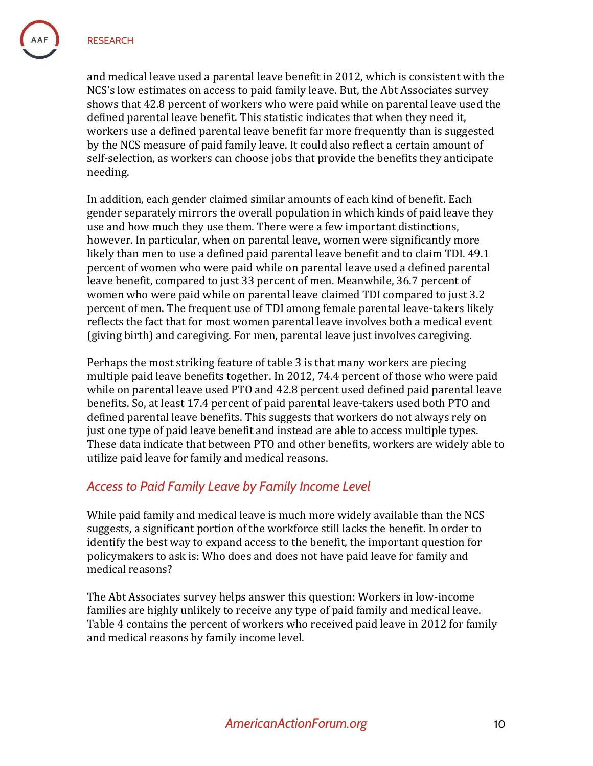and medical leave used a parental leave benefit in 2012, which is consistent with the NCS's low estimates on access to paid family leave. But, the Abt Associates survey shows that 42.8 percent of workers who were paid while on parental leave used the defined parental leave benefit. This statistic indicates that when they need it, workers use a defined parental leave benefit far more frequently than is suggested by the NCS measure of paid family leave. It could also reflect a certain amount of self-selection, as workers can choose jobs that provide the benefits they anticipate needing.

In addition, each gender claimed similar amounts of each kind of benefit. Each gender separately mirrors the overall population in which kinds of paid leave they use and how much they use them. There were a few important distinctions, however. In particular, when on parental leave, women were significantly more likely than men to use a defined paid parental leave benefit and to claim TDI. 49.1 percent of women who were paid while on parental leave used a defined parental leave benefit, compared to just 33 percent of men. Meanwhile, 36.7 percent of women who were paid while on parental leave claimed TDI compared to just 3.2 percent of men. The frequent use of TDI among female parental leave-takers likely reflects the fact that for most women parental leave involves both a medical event (giving birth) and caregiving. For men, parental leave just involves caregiving.

Perhaps the most striking feature of table 3 is that many workers are piecing multiple paid leave benefits together. In 2012, 74.4 percent of those who were paid while on parental leave used PTO and 42.8 percent used defined paid parental leave benefits. So, at least 17.4 percent of paid parental leave-takers used both PTO and defined parental leave benefits. This suggests that workers do not always rely on just one type of paid leave benefit and instead are able to access multiple types. These data indicate that between PTO and other benefits, workers are widely able to utilize paid leave for family and medical reasons.

#### *Access to Paid Family Leave by Family Income Level*

While paid family and medical leave is much more widely available than the NCS suggests, a significant portion of the workforce still lacks the benefit. In order to identify the best way to expand access to the benefit, the important question for policymakers to ask is: Who does and does not have paid leave for family and medical reasons?

The Abt Associates survey helps answer this question: Workers in low-income families are highly unlikely to receive any type of paid family and medical leave. Table 4 contains the percent of workers who received paid leave in 2012 for family and medical reasons by family income level.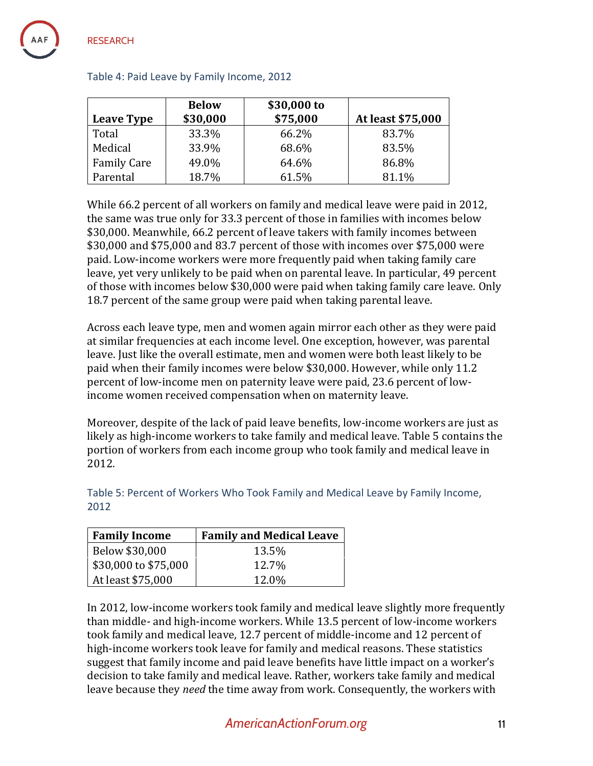|                    | <b>Below</b><br>\$30,000 | \$30,000 to<br>\$75,000 | At least \$75,000 |
|--------------------|--------------------------|-------------------------|-------------------|
| <b>Leave Type</b>  |                          |                         |                   |
| Total              | 33.3%                    | 66.2%                   | 83.7%             |
| Medical            | 33.9%                    | 68.6%                   | 83.5%             |
| <b>Family Care</b> | 49.0%                    | 64.6%                   | 86.8%             |
| Parental           | 18.7%                    | 61.5%                   | 81.1%             |

#### Table 4: Paid Leave by Family Income, 2012

While 66.2 percent of all workers on family and medical leave were paid in 2012, the same was true only for 33.3 percent of those in families with incomes below \$30,000. Meanwhile, 66.2 percent of leave takers with family incomes between \$30,000 and \$75,000 and 83.7 percent of those with incomes over \$75,000 were paid. Low-income workers were more frequently paid when taking family care leave, yet very unlikely to be paid when on parental leave. In particular, 49 percent of those with incomes below \$30,000 were paid when taking family care leave. Only 18.7 percent of the same group were paid when taking parental leave.

Across each leave type, men and women again mirror each other as they were paid at similar frequencies at each income level. One exception, however, was parental leave. Just like the overall estimate, men and women were both least likely to be paid when their family incomes were below \$30,000. However, while only 11.2 percent of low-income men on paternity leave were paid, 23.6 percent of lowincome women received compensation when on maternity leave.

Moreover, despite of the lack of paid leave benefits, low-income workers are just as likely as high-income workers to take family and medical leave. Table 5 contains the portion of workers from each income group who took family and medical leave in 2012.

| <b>Family Income</b> | <b>Family and Medical Leave</b> |
|----------------------|---------------------------------|
| Below \$30,000       | 13.5%                           |
| \$30,000 to \$75,000 | 12.7%                           |
| At least \$75,000    | 12.0%                           |

Table 5: Percent of Workers Who Took Family and Medical Leave by Family Income, 2012

In 2012, low-income workers took family and medical leave slightly more frequently than middle- and high-income workers. While 13.5 percent of low-income workers took family and medical leave, 12.7 percent of middle-income and 12 percent of high-income workers took leave for family and medical reasons. These statistics suggest that family income and paid leave benefits have little impact on a worker's decision to take family and medical leave. Rather, workers take family and medical leave because they *need* the time away from work. Consequently, the workers with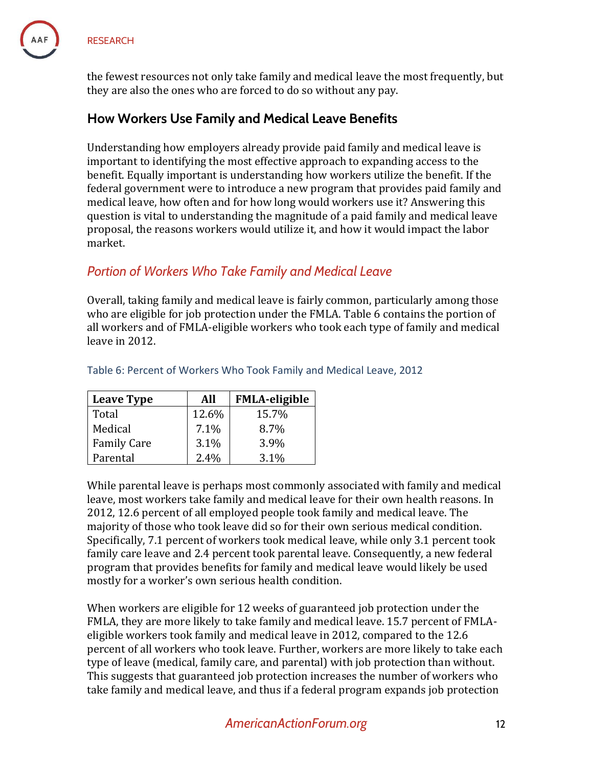the fewest resources not only take family and medical leave the most frequently, but they are also the ones who are forced to do so without any pay.

## **How Workers Use Family and Medical Leave Benefits**

Understanding how employers already provide paid family and medical leave is important to identifying the most effective approach to expanding access to the benefit. Equally important is understanding how workers utilize the benefit. If the federal government were to introduce a new program that provides paid family and medical leave, how often and for how long would workers use it? Answering this question is vital to understanding the magnitude of a paid family and medical leave proposal, the reasons workers would utilize it, and how it would impact the labor market.

## *Portion of Workers Who Take Family and Medical Leave*

Overall, taking family and medical leave is fairly common, particularly among those who are eligible for job protection under the FMLA. Table 6 contains the portion of all workers and of FMLA-eligible workers who took each type of family and medical leave in 2012.

| <b>Leave Type</b>  | All   | <b>FMLA-eligible</b> |
|--------------------|-------|----------------------|
| Total              | 12.6% | 15.7%                |
| Medical            | 7.1%  | 8.7%                 |
| <b>Family Care</b> | 3.1%  | 3.9%                 |
| Parental           | 2.4%  | 3.1%                 |

#### Table 6: Percent of Workers Who Took Family and Medical Leave, 2012

While parental leave is perhaps most commonly associated with family and medical leave, most workers take family and medical leave for their own health reasons. In 2012, 12.6 percent of all employed people took family and medical leave. The majority of those who took leave did so for their own serious medical condition. Specifically, 7.1 percent of workers took medical leave, while only 3.1 percent took family care leave and 2.4 percent took parental leave. Consequently, a new federal program that provides benefits for family and medical leave would likely be used mostly for a worker's own serious health condition.

When workers are eligible for 12 weeks of guaranteed job protection under the FMLA, they are more likely to take family and medical leave. 15.7 percent of FMLAeligible workers took family and medical leave in 2012, compared to the 12.6 percent of all workers who took leave. Further, workers are more likely to take each type of leave (medical, family care, and parental) with job protection than without. This suggests that guaranteed job protection increases the number of workers who take family and medical leave, and thus if a federal program expands job protection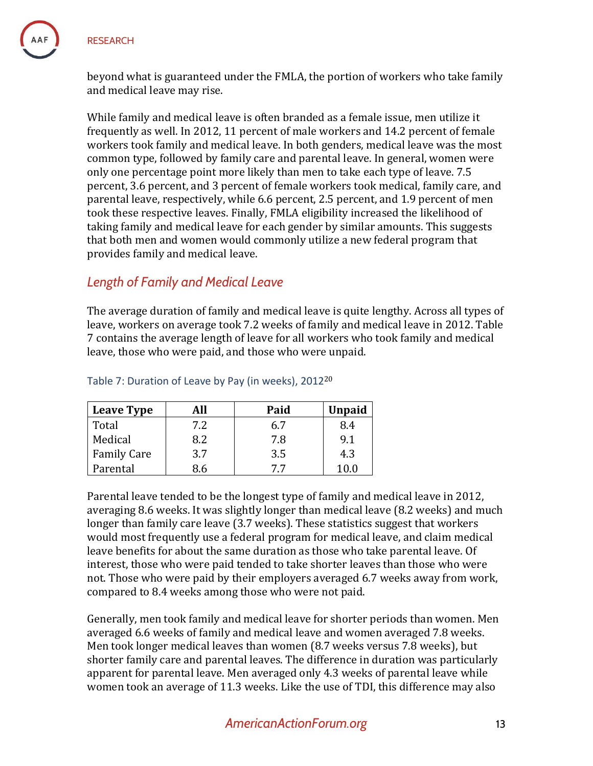

beyond what is guaranteed under the FMLA, the portion of workers who take family and medical leave may rise.

While family and medical leave is often branded as a female issue, men utilize it frequently as well. In 2012, 11 percent of male workers and 14.2 percent of female workers took family and medical leave. In both genders, medical leave was the most common type, followed by family care and parental leave. In general, women were only one percentage point more likely than men to take each type of leave. 7.5 percent, 3.6 percent, and 3 percent of female workers took medical, family care, and parental leave, respectively, while 6.6 percent, 2.5 percent, and 1.9 percent of men took these respective leaves. Finally, FMLA eligibility increased the likelihood of taking family and medical leave for each gender by similar amounts. This suggests that both men and women would commonly utilize a new federal program that provides family and medical leave.

# *Length of Family and Medical Leave*

The average duration of family and medical leave is quite lengthy. Across all types of leave, workers on average took 7.2 weeks of family and medical leave in 2012. Table 7 contains the average length of leave for all workers who took family and medical leave, those who were paid, and those who were unpaid.

| <b>Leave Type</b>  | All | Paid | <b>Unpaid</b> |
|--------------------|-----|------|---------------|
| Total              | 7.2 | 6.7  | 8.4           |
| Medical            | 8.2 | 7.8  | 9.1           |
| <b>Family Care</b> | 3.7 | 3.5  | 4.3           |
| Parental           | 8.6 | 7.7  | 10.0          |

#### Table 7: Duration of Leave by Pay (in weeks), 2012<sup>20</sup>

Parental leave tended to be the longest type of family and medical leave in 2012, averaging 8.6 weeks. It was slightly longer than medical leave (8.2 weeks) and much longer than family care leave (3.7 weeks). These statistics suggest that workers would most frequently use a federal program for medical leave, and claim medical leave benefits for about the same duration as those who take parental leave. Of interest, those who were paid tended to take shorter leaves than those who were not. Those who were paid by their employers averaged 6.7 weeks away from work, compared to 8.4 weeks among those who were not paid.

Generally, men took family and medical leave for shorter periods than women. Men averaged 6.6 weeks of family and medical leave and women averaged 7.8 weeks. Men took longer medical leaves than women (8.7 weeks versus 7.8 weeks), but shorter family care and parental leaves. The difference in duration was particularly apparent for parental leave. Men averaged only 4.3 weeks of parental leave while women took an average of 11.3 weeks. Like the use of TDI, this difference may also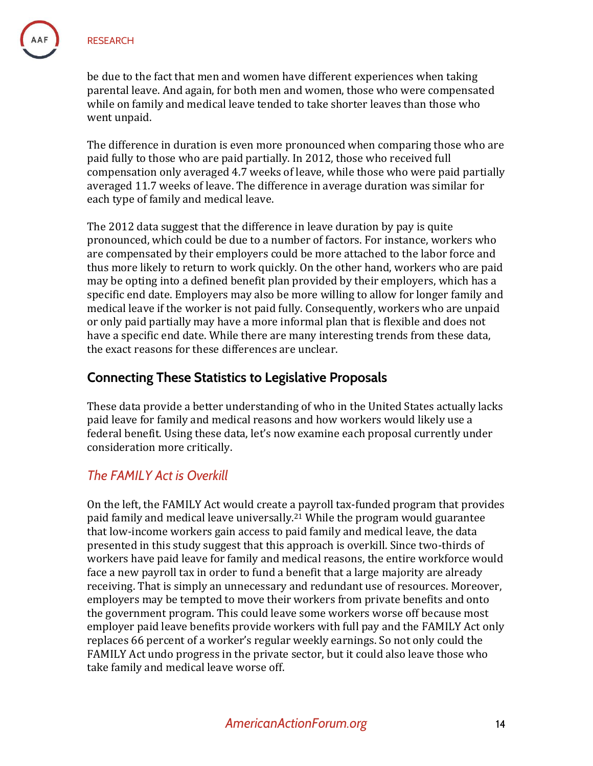be due to the fact that men and women have different experiences when taking parental leave. And again, for both men and women, those who were compensated while on family and medical leave tended to take shorter leaves than those who went unpaid.

The difference in duration is even more pronounced when comparing those who are paid fully to those who are paid partially. In 2012, those who received full compensation only averaged 4.7 weeks of leave, while those who were paid partially averaged 11.7 weeks of leave. The difference in average duration was similar for each type of family and medical leave.

The 2012 data suggest that the difference in leave duration by pay is quite pronounced, which could be due to a number of factors. For instance, workers who are compensated by their employers could be more attached to the labor force and thus more likely to return to work quickly. On the other hand, workers who are paid may be opting into a defined benefit plan provided by their employers, which has a specific end date. Employers may also be more willing to allow for longer family and medical leave if the worker is not paid fully. Consequently, workers who are unpaid or only paid partially may have a more informal plan that is flexible and does not have a specific end date. While there are many interesting trends from these data, the exact reasons for these differences are unclear.

# **Connecting These Statistics to Legislative Proposals**

These data provide a better understanding of who in the United States actually lacks paid leave for family and medical reasons and how workers would likely use a federal benefit. Using these data, let's now examine each proposal currently under consideration more critically.

# *The FAMILY Act is Overkill*

On the left, the FAMILY Act would create a payroll tax-funded program that provides paid family and medical leave universally.<sup>21</sup> While the program would guarantee that low-income workers gain access to paid family and medical leave, the data presented in this study suggest that this approach is overkill. Since two-thirds of workers have paid leave for family and medical reasons, the entire workforce would face a new payroll tax in order to fund a benefit that a large majority are already receiving. That is simply an unnecessary and redundant use of resources. Moreover, employers may be tempted to move their workers from private benefits and onto the government program. This could leave some workers worse off because most employer paid leave benefits provide workers with full pay and the FAMILY Act only replaces 66 percent of a worker's regular weekly earnings. So not only could the FAMILY Act undo progress in the private sector, but it could also leave those who take family and medical leave worse off.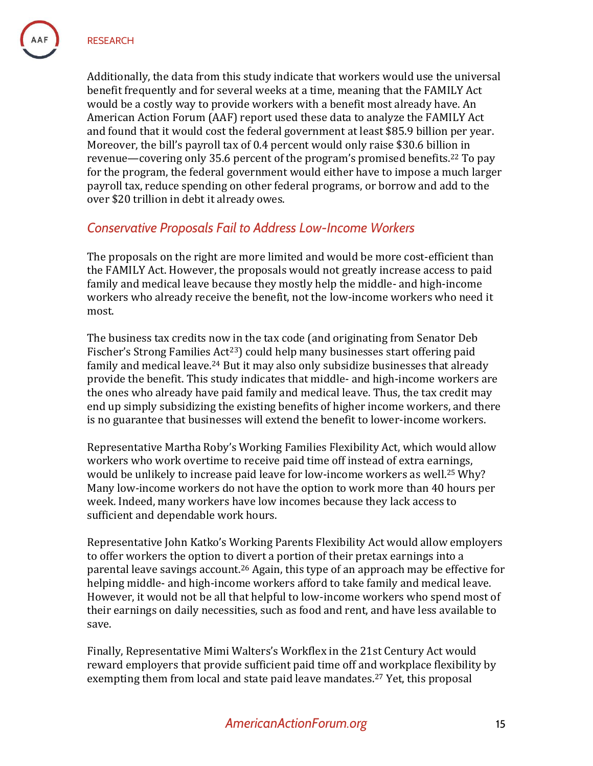Additionally, the data from this study indicate that workers would use the universal benefit frequently and for several weeks at a time, meaning that the FAMILY Act would be a costly way to provide workers with a benefit most already have. An American Action Forum (AAF) report used these data to analyze the FAMILY Act and found that it would cost the federal government at least \$85.9 billion per year. Moreover, the bill's payroll tax of 0.4 percent would only raise \$30.6 billion in revenue—covering only 35.6 percent of the program's promised benefits.<sup>22</sup> To pay for the program, the federal government would either have to impose a much larger payroll tax, reduce spending on other federal programs, or borrow and add to the over \$20 trillion in debt it already owes.

## *Conservative Proposals Fail to Address Low-Income Workers*

The proposals on the right are more limited and would be more cost-efficient than the FAMILY Act. However, the proposals would not greatly increase access to paid family and medical leave because they mostly help the middle- and high-income workers who already receive the benefit, not the low-income workers who need it most.

The business tax credits now in the tax code (and originating from Senator Deb Fischer's Strong Families Act<sup>23</sup>) could help many businesses start offering paid family and medical leave.<sup>24</sup> But it may also only subsidize businesses that already provide the benefit. This study indicates that middle- and high-income workers are the ones who already have paid family and medical leave. Thus, the tax credit may end up simply subsidizing the existing benefits of higher income workers, and there is no guarantee that businesses will extend the benefit to lower-income workers.

Representative Martha Roby's Working Families Flexibility Act, which would allow workers who work overtime to receive paid time off instead of extra earnings, would be unlikely to increase paid leave for low-income workers as well.<sup>25</sup> Why? Many low-income workers do not have the option to work more than 40 hours per week. Indeed, many workers have low incomes because they lack access to sufficient and dependable work hours.

Representative John Katko's Working Parents Flexibility Act would allow employers to offer workers the option to divert a portion of their pretax earnings into a parental leave savings account.<sup>26</sup> Again, this type of an approach may be effective for helping middle- and high-income workers afford to take family and medical leave. However, it would not be all that helpful to low-income workers who spend most of their earnings on daily necessities, such as food and rent, and have less available to save.

Finally, Representative Mimi Walters's Workflex in the 21st Century Act would reward employers that provide sufficient paid time off and workplace flexibility by exempting them from local and state paid leave mandates.<sup>27</sup> Yet, this proposal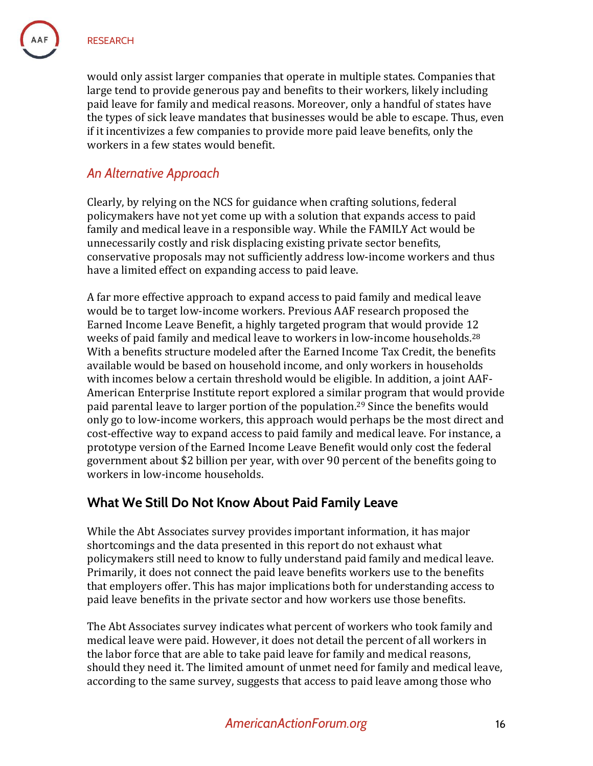would only assist larger companies that operate in multiple states. Companies that large tend to provide generous pay and benefits to their workers, likely including paid leave for family and medical reasons. Moreover, only a handful of states have the types of sick leave mandates that businesses would be able to escape. Thus, even if it incentivizes a few companies to provide more paid leave benefits, only the workers in a few states would benefit.

### *An Alternative Approach*

Clearly, by relying on the NCS for guidance when crafting solutions, federal policymakers have not yet come up with a solution that expands access to paid family and medical leave in a responsible way. While the FAMILY Act would be unnecessarily costly and risk displacing existing private sector benefits, conservative proposals may not sufficiently address low-income workers and thus have a limited effect on expanding access to paid leave.

A far more effective approach to expand access to paid family and medical leave would be to target low-income workers. Previous AAF research proposed the Earned Income Leave Benefit, a highly targeted program that would provide 12 weeks of paid family and medical leave to workers in low-income households.<sup>28</sup> With a benefits structure modeled after the Earned Income Tax Credit, the benefits available would be based on household income, and only workers in households with incomes below a certain threshold would be eligible. In addition, a joint AAF-American Enterprise Institute report explored a similar program that would provide paid parental leave to larger portion of the population.<sup>29</sup> Since the benefits would only go to low-income workers, this approach would perhaps be the most direct and cost-effective way to expand access to paid family and medical leave. For instance, a prototype version of the Earned Income Leave Benefit would only cost the federal government about \$2 billion per year, with over 90 percent of the benefits going to workers in low-income households.

### **What We Still Do Not Know About Paid Family Leave**

While the Abt Associates survey provides important information, it has major shortcomings and the data presented in this report do not exhaust what policymakers still need to know to fully understand paid family and medical leave. Primarily, it does not connect the paid leave benefits workers use to the benefits that employers offer. This has major implications both for understanding access to paid leave benefits in the private sector and how workers use those benefits.

The Abt Associates survey indicates what percent of workers who took family and medical leave were paid. However, it does not detail the percent of all workers in the labor force that are able to take paid leave for family and medical reasons, should they need it. The limited amount of unmet need for family and medical leave, according to the same survey, suggests that access to paid leave among those who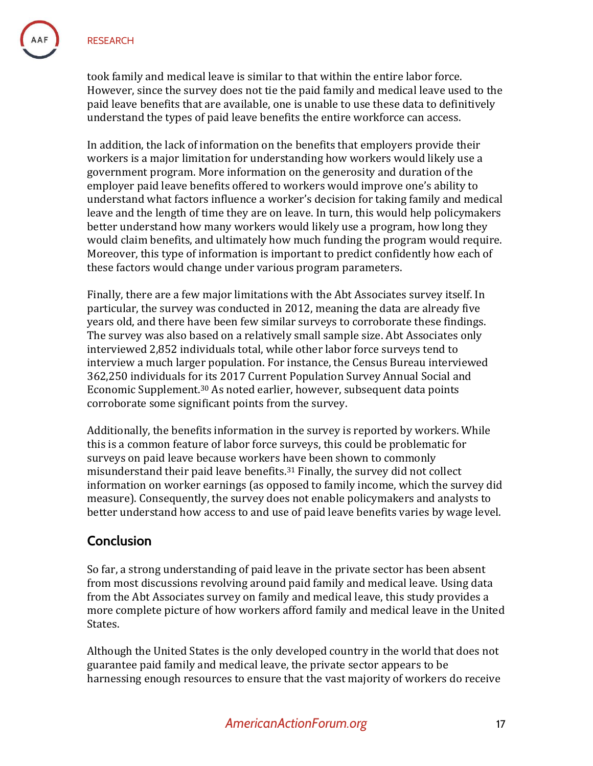took family and medical leave is similar to that within the entire labor force. However, since the survey does not tie the paid family and medical leave used to the paid leave benefits that are available, one is unable to use these data to definitively understand the types of paid leave benefits the entire workforce can access.

In addition, the lack of information on the benefits that employers provide their workers is a major limitation for understanding how workers would likely use a government program. More information on the generosity and duration of the employer paid leave benefits offered to workers would improve one's ability to understand what factors influence a worker's decision for taking family and medical leave and the length of time they are on leave. In turn, this would help policymakers better understand how many workers would likely use a program, how long they would claim benefits, and ultimately how much funding the program would require. Moreover, this type of information is important to predict confidently how each of these factors would change under various program parameters.

Finally, there are a few major limitations with the Abt Associates survey itself. In particular, the survey was conducted in 2012, meaning the data are already five years old, and there have been few similar surveys to corroborate these findings. The survey was also based on a relatively small sample size. Abt Associates only interviewed 2,852 individuals total, while other labor force surveys tend to interview a much larger population. For instance, the Census Bureau interviewed 362,250 individuals for its 2017 Current Population Survey Annual Social and Economic Supplement.<sup>30</sup> As noted earlier, however, subsequent data points corroborate some significant points from the survey.

Additionally, the benefits information in the survey is reported by workers. While this is a common feature of labor force surveys, this could be problematic for surveys on paid leave because workers have been shown to commonly misunderstand their paid leave benefits.<sup>31</sup> Finally, the survey did not collect information on worker earnings (as opposed to family income, which the survey did measure). Consequently, the survey does not enable policymakers and analysts to better understand how access to and use of paid leave benefits varies by wage level.

# **Conclusion**

So far, a strong understanding of paid leave in the private sector has been absent from most discussions revolving around paid family and medical leave. Using data from the Abt Associates survey on family and medical leave, this study provides a more complete picture of how workers afford family and medical leave in the United States.

Although the United States is the only developed country in the world that does not guarantee paid family and medical leave, the private sector appears to be harnessing enough resources to ensure that the vast majority of workers do receive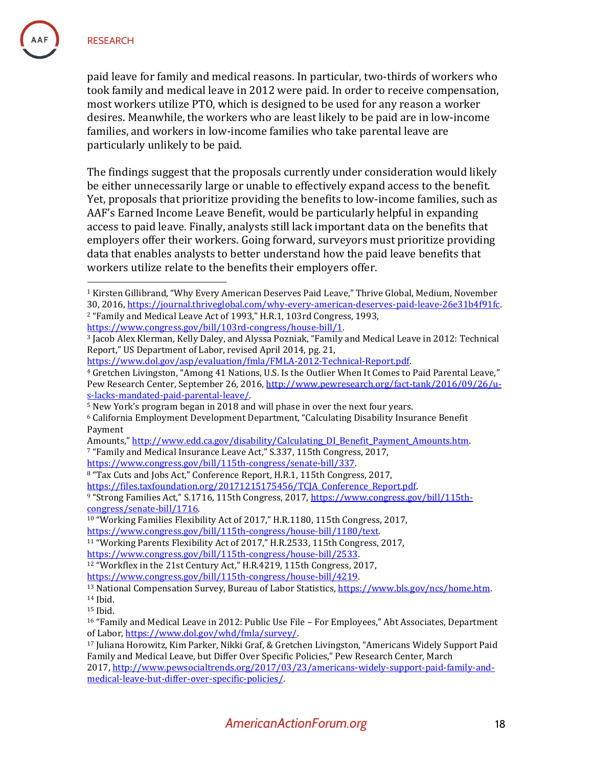$\overline{a}$ 

paid leave for family and medical reasons. In particular, two-thirds of workers who took family and medical leave in 2012 were paid. In order to receive compensation, most workers utilize PTO, which is designed to be used for any reason a worker desires. Meanwhile, the workers who are least likely to be paid are in low-income families, and workers in low-income families who take parental leave are particularly unlikely to be paid.

The findings suggest that the proposals currently under consideration would likely be either unnecessarily large or unable to effectively expand access to the benefit. Yet, proposals that prioritize providing the benefits to low-income families, such as AAF's Earned Income Leave Benefit, would be particularly helpful in expanding access to paid leave. Finally, analysts still lack important data on the benefits that employers offer their workers. Going forward, surveyors must prioritize providing data that enables analysts to better understand how the paid leave benefits that workers utilize relate to the benefits their employers offer.

[https://www.dol.gov/asp/evaluation/fmla/FMLA-2012-Technical-Report.pdf.](https://www.dol.gov/asp/evaluation/fmla/FMLA-2012-Technical-Report.pdf)

[https://www.congress.gov/bill/115th-congress/senate-bill/337.](https://www.congress.gov/bill/115th-congress/senate-bill/337) 

<sup>9</sup> "Strong Families Act," S.1716, 115th Congress, 2017, [https://www.congress.gov/bill/115th](https://www.congress.gov/bill/115th-congress/senate-bill/1716)[congress/senate-bill/1716.](https://www.congress.gov/bill/115th-congress/senate-bill/1716) 

<sup>&</sup>lt;sup>1</sup> Kirsten Gillibrand, "Why Every American Deserves Paid Leave," Thrive Global, Medium, November 30, 2016[, https://journal.thriveglobal.com/why-every-american-deserves-paid-leave-26e31b4f91fc.](https://journal.thriveglobal.com/why-every-american-deserves-paid-leave-26e31b4f91fc) <sup>2</sup> "Family and Medical Leave Act of 1993," H.R.1, 103rd Congress, 1993, [https://www.congress.gov/bill/103rd-congress/house-bill/1.](https://www.congress.gov/bill/103rd-congress/house-bill/1) 

<sup>3</sup> Jacob Alex Klerman, Kelly Daley, and Alyssa Pozniak, "Family and Medical Leave in 2012: Technical Report," US Department of Labor, revised April 2014, pg. 21,

<sup>4</sup> Gretchen Livingston, "Among 41 Nations, U.S. Is the Outlier When It Comes to Paid Parental Leave," Pew Research Center, September 26, 2016, [http://www.pewresearch.org/fact-tank/2016/09/26/u](http://www.pewresearch.org/fact-tank/2016/09/26/u-s-lacks-mandated-paid-parental-leave/)[s-lacks-mandated-paid-parental-leave/.](http://www.pewresearch.org/fact-tank/2016/09/26/u-s-lacks-mandated-paid-parental-leave/)

<sup>5</sup> New York's program began in 2018 and will phase in over the next four years.

<sup>6</sup> California Employment Development Department, "Calculating Disability Insurance Benefit Payment

Amounts," [http://www.edd.ca.gov/disability/Calculating\\_DI\\_Benefit\\_Payment\\_Amounts.htm.](http://www.edd.ca.gov/disability/Calculating_DI_Benefit_Payment_Amounts.htm)

<sup>7</sup> "Family and Medical Insurance Leave Act," S.337, 115th Congress, 2017,

<sup>8</sup> "Tax Cuts and Jobs Act," Conference Report, H.R.1, 115th Congress, 2017, https://files.taxfoundation.org/20171215175456/TCJA Conference Report.pdf.

<sup>10</sup> "Working Families Flexibility Act of 2017," H.R.1180, 115th Congress, 2017, [https://www.congress.gov/bill/115th-congress/house-bill/1180/text.](https://www.congress.gov/bill/115th-congress/house-bill/1180/text)

<sup>11</sup> "Working Parents Flexibility Act of 2017," H.R.2533, 115th Congress, 2017,

[https://www.congress.gov/bill/115th-congress/house-bill/2533.](https://www.congress.gov/bill/115th-congress/house-bill/2533) 

<sup>&</sup>lt;sup>12</sup> "Workflex in the 21st Century Act," H.R.4219, 115th Congress, 2017,

[https://www.congress.gov/bill/115th-congress/house-bill/4219.](https://www.congress.gov/bill/115th-congress/house-bill/4219) 

<sup>13</sup> National Compensation Survey, Bureau of Labor Statistics[, https://www.bls.gov/ncs/home.htm.](https://www.bls.gov/ncs/home.htm) 

<sup>14</sup> Ibid.

<sup>15</sup> Ibid.

<sup>16</sup> "Family and Medical Leave in 2012: Public Use File – For Employees," Abt Associates, Department of Labor, [https://www.dol.gov/whd/fmla/survey/.](https://www.dol.gov/whd/fmla/survey/)

<sup>17</sup> Juliana Horowitz, Kim Parker, Nikki Graf, & Gretchen Livingston, "Americans Widely Support Paid Family and Medical Leave, but Differ Over Specific Policies," Pew Research Center, March

<sup>2017,</sup> [http://www.pewsocialtrends.org/2017/03/23/americans-widely-support-paid-family-and](http://www.pewsocialtrends.org/2017/03/23/americans-widely-support-paid-family-and-medical-leave-but-differ-over-specific-policies/)[medical-leave-but-differ-over-specific-policies/.](http://www.pewsocialtrends.org/2017/03/23/americans-widely-support-paid-family-and-medical-leave-but-differ-over-specific-policies/)